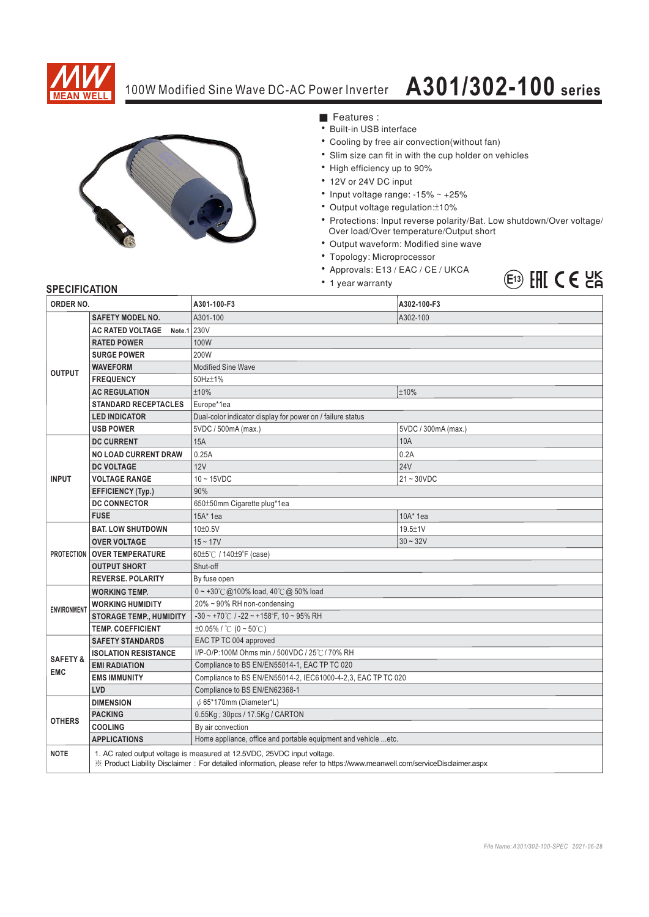

## 100W Modified Sine Wave DC-AC Power Inverter **A301/302-100 series**



■ Features :

- Built-in USB interface
- Cooling by free air convection(without fan)
- Slim size can fit in with the cup holder on vehicles
- High efficiency up to 90%
- 12V or 24V DC input
- Input voltage range:  $-15\% \sim +25\%$
- Output voltage regulation: ±10%
- Protections: Input reverse polarity/Bat. Low shutdown/Over voltage/ Over load/Over temperature/Output short
- Output waveform: Modified sine wave
- Topology: Microprocessor
- \* Approvals: E13 / EAC / CE / UKCA
- 1 year warranty



## **SPECIFICATION**

| ORDER NO.                                          |                                                                                                                                                                                                      | A301-100-F3                                                       | A302-100-F3         |
|----------------------------------------------------|------------------------------------------------------------------------------------------------------------------------------------------------------------------------------------------------------|-------------------------------------------------------------------|---------------------|
| <b>OUTPUT</b>                                      | <b>SAFETY MODEL NO.</b>                                                                                                                                                                              | A301-100                                                          | A302-100            |
|                                                    | Note.1 230V<br><b>AC RATED VOLTAGE</b>                                                                                                                                                               |                                                                   |                     |
|                                                    | <b>RATED POWER</b>                                                                                                                                                                                   | 100W                                                              |                     |
|                                                    | <b>SURGE POWER</b>                                                                                                                                                                                   | 200W                                                              |                     |
|                                                    | <b>WAVEFORM</b>                                                                                                                                                                                      | <b>Modified Sine Wave</b>                                         |                     |
|                                                    | <b>FREQUENCY</b>                                                                                                                                                                                     | 50Hz±1%                                                           |                     |
|                                                    | <b>AC REGULATION</b>                                                                                                                                                                                 | ±10%                                                              | ±10%                |
|                                                    | <b>STANDARD RECEPTACLES</b>                                                                                                                                                                          | Europe*1ea                                                        |                     |
|                                                    | <b>LED INDICATOR</b>                                                                                                                                                                                 | Dual-color indicator display for power on / failure status        |                     |
|                                                    | <b>USB POWER</b>                                                                                                                                                                                     | 5VDC / 500mA (max.)                                               | 5VDC / 300mA (max.) |
| <b>INPUT</b>                                       | <b>DC CURRENT</b>                                                                                                                                                                                    | 15A                                                               | 10A                 |
|                                                    | <b>NO LOAD CURRENT DRAW</b>                                                                                                                                                                          | 0.25A                                                             | 0.2A                |
|                                                    | <b>DC VOLTAGE</b>                                                                                                                                                                                    | 12V                                                               | <b>24V</b>          |
|                                                    | <b>VOLTAGE RANGE</b>                                                                                                                                                                                 | $10 - 15$ VDC                                                     | $21 - 30VDC$        |
|                                                    | <b>EFFICIENCY (Typ.)</b>                                                                                                                                                                             | 90%                                                               |                     |
|                                                    | <b>DC CONNECTOR</b>                                                                                                                                                                                  | 650±50mm Cigarette plug*1ea                                       |                     |
|                                                    | <b>FUSE</b>                                                                                                                                                                                          | 15A* 1ea                                                          | $10A*$ 1ea          |
| <b>PROTECTION</b>                                  | <b>BAT. LOW SHUTDOWN</b>                                                                                                                                                                             | $10\pm0.5V$                                                       | $19.5 \pm 1$ V      |
|                                                    | <b>OVER VOLTAGE</b>                                                                                                                                                                                  | $15 - 17V$                                                        | $30 - 32V$          |
|                                                    | <b>OVER TEMPERATURE</b>                                                                                                                                                                              | 60±5℃ / 140±9°F (case)                                            |                     |
|                                                    | <b>OUTPUT SHORT</b>                                                                                                                                                                                  | Shut-off                                                          |                     |
|                                                    | <b>REVERSE, POLARITY</b>                                                                                                                                                                             | By fuse open                                                      |                     |
| <b>ENVIRONMENT</b>                                 | <b>WORKING TEMP.</b>                                                                                                                                                                                 | $0 \sim +30^{\circ}$ @100% load, 40°C @ 50% load                  |                     |
|                                                    | <b>WORKING HUMIDITY</b>                                                                                                                                                                              | 20% ~ 90% RH non-condensing                                       |                     |
|                                                    | <b>STORAGE TEMP., HUMIDITY</b>                                                                                                                                                                       | $-30 \sim +70^{\circ}$ C / $-22 \sim +158^{\circ}$ F, 10 ~ 95% RH |                     |
|                                                    | <b>TEMP. COEFFICIENT</b>                                                                                                                                                                             | $\pm 0.05\%$ / °C (0 ~ 50°C)                                      |                     |
| <b>SAFETY &amp;</b><br><b>EMC</b><br><b>OTHERS</b> | <b>SAFETY STANDARDS</b>                                                                                                                                                                              | EAC TP TC 004 approved                                            |                     |
|                                                    | <b>ISOLATION RESISTANCE</b>                                                                                                                                                                          | I/P-O/P:100M Ohms min./ 500VDC / 25°C / 70% RH                    |                     |
|                                                    | <b>EMI RADIATION</b>                                                                                                                                                                                 | Compliance to BS EN/EN55014-1, EAC TP TC 020                      |                     |
|                                                    | <b>EMS IMMUNITY</b>                                                                                                                                                                                  | Compliance to BS EN/EN55014-2, IEC61000-4-2,3, EAC TP TC 020      |                     |
|                                                    | LVD                                                                                                                                                                                                  | Compliance to BS EN/EN62368-1                                     |                     |
|                                                    | <b>DIMENSION</b>                                                                                                                                                                                     | $\phi$ 65*170mm (Diameter*L)                                      |                     |
|                                                    | <b>PACKING</b>                                                                                                                                                                                       | 0.55Kg; 30pcs / 17.5Kg / CARTON                                   |                     |
|                                                    | <b>COOLING</b>                                                                                                                                                                                       | By air convection                                                 |                     |
|                                                    | <b>APPLICATIONS</b>                                                                                                                                                                                  | Home appliance, office and portable equipment and vehicle  etc.   |                     |
| <b>NOTE</b>                                        | 1. AC rated output voltage is measured at 12.5VDC, 25VDC input voltage.<br>※ Product Liability Disclaimer: For detailed information, please refer to https://www.meanwell.com/serviceDisclaimer.aspx |                                                                   |                     |